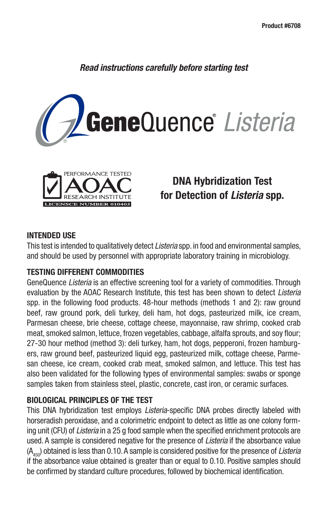*Read instructions carefully before starting test*





# **DNA Hybridization Test for Detection of** *Listeria* **spp.**

### **INTENDED USE**

This test is intended to qualitatively detect *Listeria* spp. in food and environmental samples, and should be used by personnel with appropriate laboratory training in microbiology.

### **TESTING DIFFERENT COMMODITIES**

GeneQuence *Listeria* is an effective screening tool for a variety of commodities. Through evaluation by the AOAC Research Institute, this test has been shown to detect *Listeria* spp. in the following food products. 48-hour methods (methods 1 and 2): raw ground beef, raw ground pork, deli turkey, deli ham, hot dogs, pasteurized milk, ice cream, Parmesan cheese, brie cheese, cottage cheese, mayonnaise, raw shrimp, cooked crab meat, smoked salmon, lettuce, frozen vegetables, cabbage, alfalfa sprouts, and soy flour; 27-30 hour method (method 3): deli turkey, ham, hot dogs, pepperoni, frozen hamburgers, raw ground beef, pasteurized liquid egg, pasteurized milk, cottage cheese, Parmesan cheese, ice cream, cooked crab meat, smoked salmon, and lettuce. This test has also been validated for the following types of environmental samples: swabs or sponge samples taken from stainless steel, plastic, concrete, cast iron, or ceramic surfaces.

### **BIOLOGICAL PRINCIPLES OF THE TEST**

This DNA hybridization test employs *Listeria*-specific DNA probes directly labeled with horseradish peroxidase, and a colorimetric endpoint to detect as little as one colony forming unit (CFU) of *Listeria* in a 25 g food sample when the specified enrichment protocols are used. A sample is considered negative for the presence of *Listeria* if the absorbance value (A450) obtained is less than 0.10. A sample is considered positive for the presence of *Listeria* if the absorbance value obtained is greater than or equal to 0.10. Positive samples should be confirmed by standard culture procedures, followed by biochemical identification.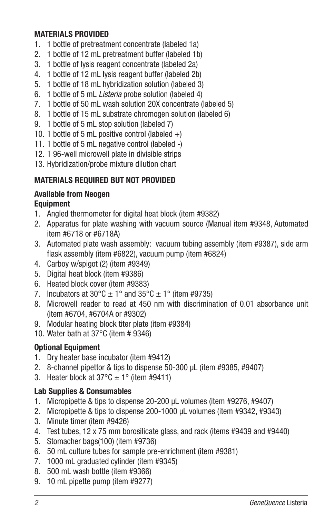## **MATERIALS PROVIDED**

- 1. 1 bottle of pretreatment concentrate (labeled 1a)
- 2. 1 bottle of 12 mL pretreatment buffer (labeled 1b)
- 3. 1 bottle of lysis reagent concentrate (labeled 2a)
- 4. 1 bottle of 12 mL lysis reagent buffer (labeled 2b)
- 5. 1 bottle of 18 mL hybridization solution (labeled 3)
- 6. 1 bottle of 5 mL *Listeria* probe solution (labeled 4)
- 7. 1 bottle of 50 mL wash solution 20X concentrate (labeled 5)
- 8. 1 bottle of 15 mL substrate chromogen solution (labeled 6)
- 9. 1 bottle of 5 mL stop solution (labeled 7)
- 10. 1 bottle of 5 mL positive control (labeled  $+$ )
- 11. 1 bottle of 5 mL negative control (labeled -)
- 12. 1 96-well microwell plate in divisible strips
- 13. Hybridization/probe mixture dilution chart

# **MATERIALS REQUIRED BUT NOT PROVIDED**

# **Available from Neogen**

# **Equipment**

- 1. Angled thermometer for digital heat block (item #9382)
- 2. Apparatus for plate washing with vacuum source (Manual item #9348, Automated item #6718 or #6718A)
- 3. Automated plate wash assembly: vacuum tubing assembly (item #9387), side arm flask assembly (item  $#6822$ ), vacuum pump (item  $#6824$ )
- 4. Carboy w/spigot (2) (item #9349)
- 5. Digital heat block (item #9386)
- 6. Heated block cover (item #9383)
- 7. Incubators at  $30^{\circ}$ C  $\pm$  1° and  $35^{\circ}$ C  $\pm$  1° (item #9735)
- 8. Microwell reader to read at 450 nm with discrimination of 0.01 absorbance unit (item #6704, #6704A or #9302)
- 9. Modular heating block titer plate (item #9384)
- 10. Water bath at  $37^{\circ}$ C (item # 9346)

# **Optional Equipment**

- 1. Dry heater base incubator (item #9412)
- 2. 8-channel pipettor & tips to dispense 50-300 µL (item #9385, #9407)
- 3. Heater block at  $37^{\circ}$ C  $\pm$  1° (item #9411)

# **Lab Supplies & Consumables**

- 1. Micropipette & tips to dispense 20-200 µL volumes (item #9276, #9407)
- 2. Micropipette & tips to dispense 200-1000 µL volumes (item #9342, #9343)
- 3. Minute timer (item #9426)
- 4. Test tubes, 12 x 75 mm borosilicate glass, and rack (items #9439 and #9440)
- 5. Stomacher bags(100) (item #9736)
- 6. 50 mL culture tubes for sample pre-enrichment (item #9381)
- 7. 1000 mL graduated cylinder (item #9345)
- 8. 500 mL wash bottle (item #9366)
- 9. 10 mL pipette pump (item #9277)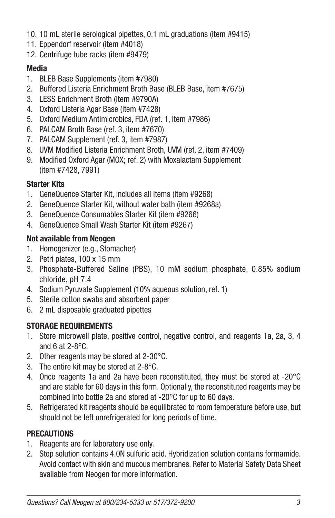- 10. 10 mL sterile serological pipettes, 0.1 mL graduations (item #9415)
- 11. Eppendorf reservoir (item #4018)
- 12. Centrifuge tube racks (item #9479)

# **Media**

- 1. BLEB Base Supplements (item #7980)
- 2. Buffered Listeria Enrichment Broth Base (BLEB Base, item #7675)
- 3. LESS Enrichment Broth (item #9790A)
- 4. Oxford Listeria Agar Base (item #7428)
- 5. Oxford Medium Antimicrobics, FDA (ref. 1, item #7986)
- 6. PALCAM Broth Base (ref. 3, item #7670)
- 7. PALCAM Supplement (ref. 3, item #7987)
- 8. UVM Modified Listeria Enrichment Broth, UVM (ref. 2, item #7409)
- 9. Modified Oxford Agar (MOX; ref. 2) with Moxalactam Supplement (item #7428, 7991)

# **Starter Kits**

- 1. GeneQuence Starter Kit, includes all items (item #9268)
- 2. GeneQuence Starter Kit, without water bath (item #9268a)
- 3. GeneQuence Consumables Starter Kit (item #9266)
- 4. GeneQuence Small Wash Starter Kit (item #9267)

# **Not available from Neogen**

- 1. Homogenizer (e.g., Stomacher)
- 2. Petri plates, 100 x 15 mm
- 3. Phosphate-Buffered Saline (PBS), 10 mM sodium phosphate, 0.85% sodium chloride, pH 7.4
- 4. Sodium Pyruvate Supplement (10% aqueous solution, ref. 1)
- 5. Sterile cotton swabs and absorbent paper
- 6. 2 mL disposable graduated pipettes

# **STORAGE REQUIREMENTS**

- 1. Store microwell plate, positive control, negative control, and reagents 1a, 2a, 3, 4 and 6 at  $2-8$ °C.
- 2. Other reagents may be stored at 2-30°C.
- 3. The entire kit may be stored at 2-8°C.
- 4. Once reagents 1a and 2a have been reconstituted, they must be stored at -20°C and are stable for 60 days in this form. Optionally, the reconstituted reagents may be combined into bottle 2a and stored at -20°C for up to 60 days.
- 5. Refrigerated kit reagents should be equilibrated to room temperature before use, but should not be left unrefrigerated for long periods of time.

# **PRECAUTIONS**

- 1. Reagents are for laboratory use only.
- 2. Stop solution contains 4.0N sulfuric acid. Hybridization solution contains formamide. Avoid contact with skin and mucous membranes. Refer to Material Safety Data Sheet available from Neogen for more information.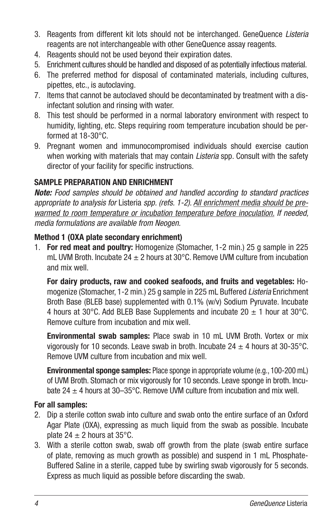- 3. Reagents from different kit lots should not be interchanged. GeneQuence *Listeria* reagents are not interchangeable with other GeneQuence assay reagents.
- 4. Reagents should not be used beyond their expiration dates.
- 5. Enrichment cultures should be handled and disposed of as potentially infectious material.
- 6. The preferred method for disposal of contaminated materials, including cultures, pipettes, etc., is autoclaving.
- 7. Items that cannot be autoclaved should be decontaminated by treatment with a disinfectant solution and rinsing with water.
- 8. This test should be performed in a normal laboratory environment with respect to humidity, lighting, etc. Steps requiring room temperature incubation should be performed at 18-30°C.
- 9. Pregnant women and immunocompromised individuals should exercise caution when working with materials that may contain *Listeria* spp. Consult with the safety director of your facility for specific instructions.

## **SAMPLE PREPARATION AND ENRICHMENT**

*Note: Food samples should be obtained and handled according to standard practices appropriate to analysis for* Listeria *spp. (refs. 1-2). All enrichment media should be prewarmed to room temperature or incubation temperature before inoculation. If needed, media formulations are available from Neogen.*

## **Method 1 (OXA plate secondary enrichment)**

1. **For red meat and poultry:** Homogenize (Stomacher, 1-2 min.) 25 g sample in 225 mL UVM Broth. Incubate 24  $\pm$  2 hours at 30°C. Remove UVM culture from incubation and mix well.

**For dairy products, raw and cooked seafoods, and fruits and vegetables:** Homogenize (Stomacher, 1-2 min.) 25 g sample in 225 mL Buffered *Listeria* Enrichment Broth Base (BLEB base) supplemented with 0.1% (w/v) Sodium Pyruvate. Incubate 4 hours at 30°C. Add BLEB Base Supplements and incubate  $20 \pm 1$  hour at 30°C. Remove culture from incubation and mix well.

**Environmental swab samples:** Place swab in 10 mL UVM Broth. Vortex or mix vigorously for 10 seconds. Leave swab in broth. Incubate  $24 \pm 4$  hours at 30-35 °C. Remove UVM culture from incubation and mix well.

**Environmental sponge samples:** Place sponge in appropriate volume (e.g., 100-200 mL) of UVM Broth. Stomach or mix vigorously for 10 seconds. Leave sponge in broth. Incubate 24  $\pm$  4 hours at 30–35°C. Remove UVM culture from incubation and mix well.

### **For all samples:**

- 2. Dip a sterile cotton swab into culture and swab onto the entire surface of an Oxford Agar Plate (OXA), expressing as much liquid from the swab as possible. Incubate plate 24  $\pm$  2 hours at 35°C.
- 3. With a sterile cotton swab, swab off growth from the plate (swab entire surface of plate, removing as much growth as possible) and suspend in 1 mL Phosphate-Buffered Saline in a sterile, capped tube by swirling swab vigorously for 5 seconds. Express as much liquid as possible before discarding the swab.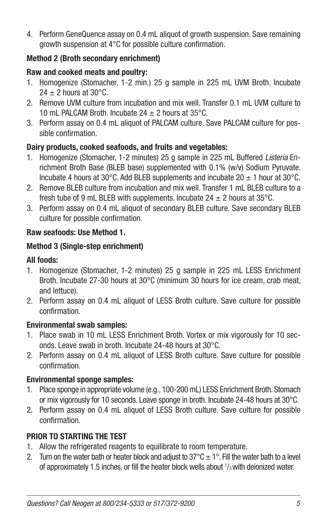4. Perform GeneQuence assay on 0.4 mL aliquot of growth suspension. Save remaining growth suspension at  $4^{\circ}$ C for possible culture confirmation.

# **Method 2 (Broth secondary enrichment)**

## **Raw and cooked meats and poultry:**

- 1. Homogenize (Stomacher, 1-2 min.) 25 g sample in 225 mL UVM Broth. Incubate  $24 \pm 2$  hours at 30°C.
- 2. Remove UVM culture from incubation and mix well. Transfer 0.1 mL UVM culture to 10 mL PALCAM Broth. Incubate  $24 \pm 2$  hours at 35 $\degree$ C.
- 3. Perform assay on 0.4 mL aliquot of PALCAM culture. Save PALCAM culture for possible confirmation.

## **Dairy products, cooked seafoods, and fruits and vegetables:**

- 1. Homogenize (Stomacher, 1-2 minutes) 25 g sample in 225 mL Buffered *Listeria* Enrichment Broth Base (BLEB base) supplemented with 0.1% (w/v) Sodium Pyruvate. Incubate 4 hours at 30°C. Add BLEB supplements and incubate 20  $\pm$  1 hour at 30°C.
- 2. Remove BLEB culture from incubation and mix well. Transfer 1 mL BLEB culture to a fresh tube of 9 mL BLEB with supplements. Incubate  $24 \pm 2$  hours at 35°C.
- 3. Perform assay on 0.4 mL aliquot of secondary BLEB culture. Save secondary BLEB culture for possible confirmation.

## **Raw seafoods: Use Method 1.**

## **Method 3 (Single-step enrichment)**

### **All foods:**

- 1. Homogenize (Stomacher, 1-2 minutes) 25 g sample in 225 mL LESS Enrichment Broth. Incubate 27-30 hours at 30°C (minimum 30 hours for ice cream, crab meat, and lettuce).
- 2. Perform assay on 0.4 mL aliquot of LESS Broth culture. Save culture for possible confirmation.

### **Environmental swab samples:**

- 1. Place swab in 10 mL LESS Enrichment Broth. Vortex or mix vigorously for 10 seconds. Leave swab in broth. Incubate 24 -48 hours at 30°C.
- 2. Perform assay on 0.4 mL aliquot of LESS Broth culture. Save culture for possible confirmation.

# **Environmental sponge samples:**

- 1. Place sponge in appropriate volume (e.g., 100-200 mL) LESS Enrichment Broth. Stomach or mix vigorously for 10 seconds. Leave sponge in broth. Incubate 24-48 hours at 30°C.
- 2. Perform assay on 0.4 mL aliquot of LESS Broth culture. Save culture for possible confirmation.

# **PRIOR TO STARTING THE TEST**

- 1. Allow the refrigerated reagents to equilibrate to room temperature.
- 2. Turn on the water bath or heater block and adjust to  $37^{\circ}C \pm 1^{\circ}$ . Fill the water bath to a level of approximately 1.5 inches, or fill the heater block wells about  $\frac{1}{3}$  with deionized water.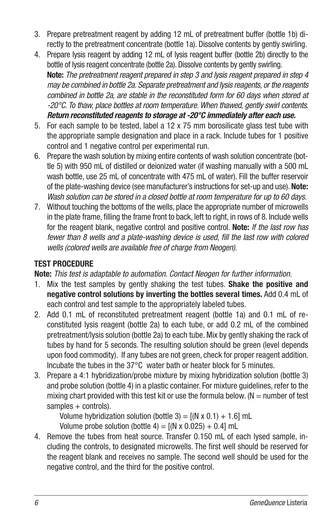- 3. Prepare pretreatment reagent by adding 12 mL of pretreatment buffer (bottle 1b) directly to the pretreatment concentrate (bottle 1a). Dissolve contents by gently swirling.
- 4. Prepare lysis reagent by adding 12 mL of lysis reagent buffer (bottle 2b) directly to the bottle of lysis reagent concentrate (bottle 2a). Dissolve contents by gently swirling. **Note:** *The pretreatment reagent prepared in step 3 and lysis reagent prepared in step 4 may be combined in bottle 2a. Separate pretreatment and lysis reagents, or the reagents combined in bottle 2a, are stable in the reconstituted form for 60 days when stored at -20°C. To thaw, place bottles at room temperature. When thawed, gently swirl contents. Return reconstituted reagents to storage at -20°C immediately after each use.*
- 5. For each sample to be tested, label a 12 x 75 mm borosilicate glass test tube with the appropriate sample designation and place in a rack. Include tubes for 1 positive control and 1 negative control per experimental run.
- 6. Prepare the wash solution by mixing entire contents of wash solution concentrate (bottle 5) with 950 mL of distilled or deionized water (if washing manually with a 500 mL wash bottle, use 25 mL of concentrate with 475 mL of water). Fill the buffer reservoir of the plate-washing device (see manufacturer's instructions for set-up and use). **Note:** *Wash solution can be stored in a closed bottle at room temperature for up to 60 days.*
- 7. Without touching the bottoms of the wells, place the appropriate number of microwells in the plate frame, filling the frame front to back, left to right, in rows of 8. Include wells for the reagent blank, negative control and positive control. **Note:** *If the last row has*  fewer than 8 wells and a plate-washing device is used, fill the last row with colored *wells (colored wells are available free of charge from Neogen).*

# **TEST PROCEDURE**

**Note:** *This test is adaptable to automation. Contact Neogen for further information.*

- 1. Mix the test samples by gently shaking the test tubes. **Shake the positive and negative control solutions by inverting the bottles several times.** Add 0.4 mL of each control and test sample to the appropriately labeled tubes.
- 2. Add 0.1 mL of reconstituted pretreatment reagent (bottle 1a) and 0.1 mL of reconstituted lysis reagent (bottle 2a) to each tube, or add 0.2 mL of the combined pretreatment/lysis solution (bottle 2a) to each tube. Mix by gently shaking the rack of tubes by hand for 5 seconds. The resulting solution should be green (level depends upon food commodity). If any tubes are not green, check for proper reagent addition. Incubate the tubes in the 37°C water bath or heater block for 5 minutes.
- 3. Prepare a 4:1 hybridization/probe mixture by mixing hybridization solution (bottle 3) and probe solution (bottle 4) in a plastic container. For mixture guidelines, refer to the mixing chart provided with this test kit or use the formula below. ( $N =$  number of test samples + controls).

Volume hybridization solution (bottle 3) =  $[(N \times 0.1) + 1.6]$  mL

Volume probe solution (bottle 4) =  $[(N \times 0.025) + 0.4]$  mL

4. Remove the tubes from heat source. Transfer 0.150 mL of each lysed sample, including the controls, to designated microwells. The first well should be reserved for the reagent blank and receives no sample. The second well should be used for the negative control, and the third for the positive control.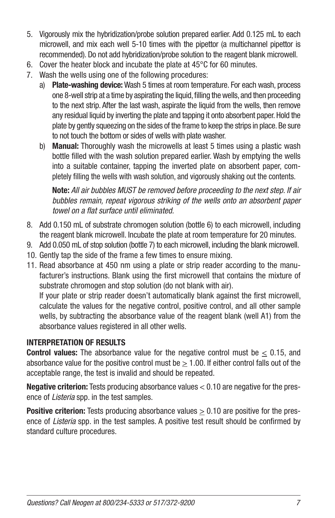- 5. Vigorously mix the hybridization/probe solution prepared earlier. Add 0.125 mL to each microwell, and mix each well 5-10 times with the pipettor (a multichannel pipettor is recommended). Do not add hybridization/probe solution to the reagent blank microwell.
- 6. Cover the heater block and incubate the plate at 45°C for 60 minutes.
- 7. Wash the wells using one of the following procedures:
	- a) **Plate-washing device:** Wash 5 times at room temperature. For each wash, process one 8-well strip at a time by aspirating the liquid, filling the wells, and then proceeding to the next strip. After the last wash, aspirate the liquid from the wells, then remove any residual liquid by inverting the plate and tapping it onto absorbent paper. Hold the plate by gently squeezing on the sides of the frame to keep the strips in place. Be sure to not touch the bottom or sides of wells with plate washer.
	- b) **Manual:** Thoroughly wash the microwells at least 5 times using a plastic wash bottle filled with the wash solution prepared earlier. Wash by emptying the wells into a suitable container, tapping the inverted plate on absorbent paper, completely filling the wells with wash solution, and vigorously shaking out the contents.

 **Note:** *All air bubbles MUST be removed before proceeding to the next step. If air bubbles remain, repeat vigorous striking of the wells onto an absorbent paper towel on a flat surface until eliminated.* 

- 8. Add 0.150 mL of substrate chromogen solution (bottle 6) to each microwell, including the reagent blank microwell. Incubate the plate at room temperature for 20 minutes.
- 9. Add 0.050 mL of stop solution (bottle 7) to each microwell, including the blank microwell.
- 10. Gently tap the side of the frame a few times to ensure mixing.
- 11. Read absorbance at 450 nm using a plate or strip reader according to the manufacturer's instructions. Blank using the first microwell that contains the mixture of substrate chromogen and stop solution (do not blank with air). If your plate or strip reader doesn't automatically blank against the first microwell, calculate the values for the negative control, positive control, and all other sample wells, by subtracting the absorbance value of the reagent blank (well A1) from the absorbance values registered in all other wells.

# **INTERPRETATION OF RESULTS**

**Control values:** The absorbance value for the negative control must be  $\leq$  0.15, and absorbance value for the positive control must be  $> 1.00$ . If either control falls out of the acceptable range, the test is invalid and should be repeated.

**Negative criterion:** Tests producing absorbance values < 0.10 are negative for the presence of *Listeria* spp. in the test samples.

**Positive criterion:** Tests producing absorbance values  $> 0.10$  are positive for the presence of *Listeria* spp. in the test samples. A positive test result should be confirmed by standard culture procedures.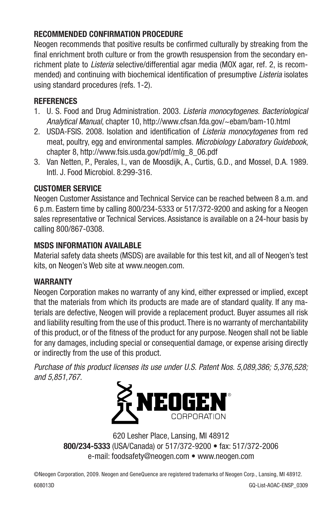# **RECOMMENDED CONFIRMATION PROCEDURE**

Neogen recommends that positive results be confirmed culturally by streaking from the final enrichment broth culture or from the growth resuspension from the secondary enrichment plate to *Listeria* selective/differential agar media (MOX agar, ref. 2, is recommended) and continuing with biochemical identification of presumptive *Listeria* isolates using standard procedures (refs. 1-2).

# **REFERENCES**

- 1. U. S. Food and Drug Administration. 2003. *Listeria monocytogenes. Bacteriological Analytical Manual*, chapter 10, http://www.cfsan.fda.gov/~ebam/bam-10.html
- 2. USDA-FSIS, 2008. Isolation and identification of *Listeria monocytogenes* from red meat, poultry, egg and environmental samples. *Microbiology Laboratory Guidebook*, chapter 8, http://www.fsis.usda.gov/pdf/mlg\_8\_06.pdf
- 3. Van Netten, P., Perales, I., van de Moosdijk, A., Curtis, G.D., and Mossel, D.A. 1989. Intl. J. Food Microbiol. 8:299-316.

# **CUSTOMER SERVICE**

Neogen Customer Assistance and Technical Service can be reached between 8 a.m. and 6 p.m. Eastern time by calling 800/234-5333 or 517/372-9200 and asking for a Neogen sales representative or Technical Services. Assistance is available on a 24-hour basis by calling 800/867-0308.

# **MSDS INFORMATION AVAILABLE**

Material safety data sheets (MSDS) are available for this test kit, and all of Neogen's test kits, on Neogen's Web site at www.neogen.com.

# **WARRANTY**

Neogen Corporation makes no warranty of any kind, either expressed or implied, except that the materials from which its products are made are of standard quality. If any materials are defective, Neogen will provide a replacement product. Buyer assumes all risk and liability resulting from the use of this product. There is no warranty of merchantability of this product, or of the fitness of the product for any purpose. Neogen shall not be liable for any damages, including special or consequential damage, or expense arising directly or indirectly from the use of this product.

*Purchase of this product licenses its use under U.S. Patent Nos. 5,089,386; 5,376,528; and 5,851,767.*



620 Lesher Place, Lansing, MI 48912 **800/234-5333** (USA/Canada) or 517/372-9200 • fax: 517/372-2006 e-mail: foodsafety@neogen.com • www.neogen.com

©Neogen Corporation, 2009. Neogen and GeneQuence are registered trademarks of Neogen Corp., Lansing, MI 48912. 608013D GQ-List-AOAC-ENSP\_0309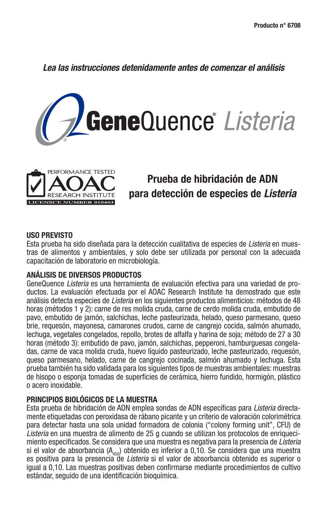*Lea las instrucciones detenidamente antes de comenzar el análisis*





# **Prueba de hibridación de ADN para detección de especies de** *Listeria*

#### **USO PREVISTO**

Esta prueba ha sido diseñada para la detección cualitativa de especies de *Listeria* en muestras de alimentos y ambientales, y solo debe ser utilizada por personal con la adecuada capacitación de laboratorio en microbiología.

#### **ANÁLISIS DE DIVERSOS PRODUCTOS**

GeneQuence *Listeria* es una herramienta de evaluación efectiva para una variedad de productos. La evaluación efectuada por el AOAC Research Institute ha demostrado que este análisis detecta especies de *Listeria* en los siguientes productos alimenticios: métodos de 48 horas (métodos 1 y 2): carne de res molida cruda, carne de cerdo molida cruda, embutido de pavo, embutido de jamón, salchichas, leche pasteurizada, helado, queso parmesano, queso brie, requesón, mayonesa, camarones crudos, carne de cangrejo cocida, salmón ahumado, lechuga, vegetales congelados, repollo, brotes de alfalfa y harina de soja; método de 27 a 30 horas (método 3): embutido de pavo, jamón, salchichas, pepperoni, hamburguesas congeladas, carne de vaca molida cruda, huevo líquido pasteurizado, leche pasteurizado, requesón, queso parmesano, helado, carne de cangrejo cocinada, salmón ahumado y lechuga. Esta prueba también ha sido validada para los siguientes tipos de muestras ambientales: muestras de hisopo o esponja tomadas de superficies de cerámica, hierro fundido, hormigón, plástico o acero inoxidable.

#### **PRINCIPIOS BIOLÓGICOS DE LA MUESTRA**

Esta prueba de hibridación de ADN emplea sondas de ADN específi cas para *Listeria* directamente etiquetadas con peroxidasa de rábano picante y un criterio de valoración colorimétrica para detectar hasta una sola unidad formadora de colonia ("colony forming unit", CFU) de *Listeria* en una muestra de alimento de 25 g cuando se utilizan los protocolos de enriquecimiento especifi cados. Se considera que una muestra es negativa para la presencia de *Listeria* si el valor de absorbancia ( $A_{450}$ ) obtenido es inferior a 0,10. Se considera que una muestra es positiva para la presencia de *Listeria* si el valor de absorbancia obtenido es superior o igual a 0,10. Las muestras positivas deben confirmarse mediante procedimientos de cultivo estándar, seguido de una identificación bioquímica.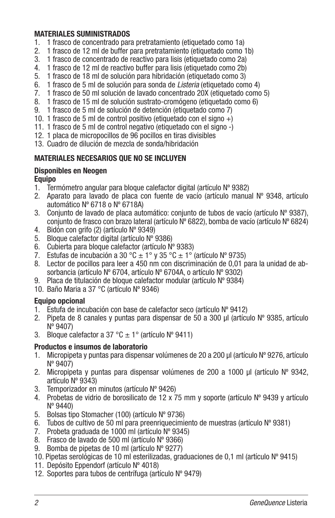#### **MATERIALES SUMINISTRADOS**

- 1. 1 frasco de concentrado para pretratamiento (etiquetado como 1a)
- 2. 1 frasco de 12 ml de buffer para pretratamiento (etiquetado como 1b)
- 3. 1 frasco de concentrado de reactivo para lisis (etiquetado como 2a)
- 4. 1 frasco de 12 ml de reactivo buffer para lisis (etiquetado como 2b)
- 5. 1 frasco de 18 ml de solución para hibridación (etiquetado como 3)
- 6. 1 frasco de 5 ml de solución para sonda de *Listeria* (etiquetado como 4)
- 7. 1 frasco de 50 ml solución de lavado concentrado 20X (etiquetado como 5)
- 8. 1 frasco de 15 ml de solución sustrato-cromógeno (etiquetado como 6)
- 9. 1 frasco de 5 ml de solución de detención (etiquetado como 7)
- 10. 1 frasco de 5 ml de control positivo (etiquetado con el signo  $+$ )
- 11. 1 frasco de 5 ml de control negativo (etiquetado con el signo -)
- 12. 1 placa de micropocillos de 96 pocillos en tiras divisibles
- 13. Cuadro de dilución de mezcla de sonda/hibridación

### **MATERIALES NECESARIOS QUE NO SE INCLUYEN**

#### **Disponibles en Neogen Equipo**

- 1. Termómetro angular para bloque calefactor digital (artículo Nº 9382)
- 2. Aparato para lavado de placa con fuente de vacío (artículo manual  $N<sup>o</sup>$  9348, artículo automático Nº 6718 o Nº 6718A)
- 3. Conjunto de lavado de placa automático: conjunto de tubos de vacío (artículo  $N^{\circ}$  9387). conjunto de frasco con brazo lateral (artículo Nº 6822), bomba de vacío (artículo Nº 6824)
- 4. Bidón con grifo (2) (artículo Nº 9349)
- 5. Bloque calefactor digital (artículo Nº 9386)
- 6. Cubierta para bloque calefactor (artículo Nº 9383)
- 7. Estufas de incubación a 30 °C  $\pm$  1° y 35 °C  $\pm$  1° (artículo N° 9735)
- 8. Lector de pocillos para leer a 450 nm con discriminación de 0,01 para la unidad de absorbancia (artículo Nº 6704, artículo Nº 6704A, o artículo Nº 9302)
- 9. Placa de titulación de bloque calefactor modular (artículo Nº 9384)
- 10. Baño Maria a 37 °C (artículo Nº 9346)

### **Equipo opcional**

- 1. Estufa de incubación con base de calefactor seco (artículo Nº 9412)
- 2. Pipeta de 8 canales y puntas para dispensar de 50 a 300 µl (artículo  $N^{\circ}$  9385, artículo Nº 9407)
- 3. Bloque calefactor a 37 °C  $\pm$  1° (artículo N° 9411)

### **Productos e insumos de laboratorio**

- 1. Micropipeta y puntas para dispensar volúmenes de 20 a 200 µl (artículo Nº 9276, artículo Nº 9407)
- 2. Micropipeta y puntas para dispensar volúmenes de 200 a 1000 µl (artículo  $N^{\circ}$  9342, artículo Nº 9343)
- 3. Temporizador en minutos (artículo Nº 9426)
- 4. Probetas de vidrio de borosilicato de 12 x 75 mm y soporte (artículo Nº 9439 y artículo Nº 9440)
- 5. Bolsas tipo Stomacher (100) (artículo Nº 9736)
- 6. Tubos de cultivo de 50 ml para preenriquecimiento de muestras (artículo  $N^{\circ}$  9381)
- 7. Probeta graduada de 1000 ml (artículo Nº 9345)
- 8. Frasco de lavado de 500 ml (artículo Nº 9366)
- 9. Bomba de pipetas de 10 ml (artículo Nº 9277)
- 10. Pipetas serológicas de 10 ml esterilizadas, graduaciones de 0,1 ml (artículo Nº 9415)
- 11. Depósito Eppendorf (artículo Nº 4018)
- 12. Soportes para tubos de centrífuga (artículo Nº 9479)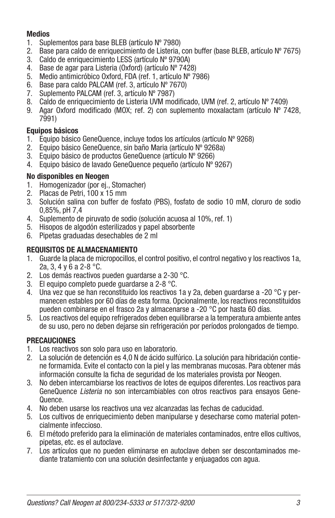### **Medios**

- 1. Suplementos para base BLEB (artículo Nº 7980)
- 2. Base para caldo de enriquecimiento de Listeria, con buffer (base BLEB, artículo  $N^{\circ}$  7675)
- 3. Caldo de enriquecimiento LESS (artículo Nº 9790A)
- 4. Base de agar para Listeria (Oxford) (artículo Nº 7428)
- 5. Medio antimicróbico Oxford, FDA (ref. 1, artículo Nº 7986)
- 6. Base para caldo PALCAM (ref. 3, artículo Nº 7670)
- 7. Suplemento PALCAM (ref. 3, artículo Nº 7987)
- 8. Caldo de enriquecimiento de Listeria UVM modificado, UVM (ref. 2, artículo № 7409)
- 9. Agar Oxford modificado (MOX; ref. 2) con suplemento moxalactam (artículo  $N^{\circ}$  7428, 7991)

### **Equipos básicos**

- 1. Equipo básico GeneQuence, incluye todos los artículos (artículo Nº 9268)
- 2. Equipo básico GeneQuence, sin baño Maria (artículo Nº 9268a)
- Equipo básico de productos GeneQuence (artículo Nº 9266)
- 4. Equipo básico de lavado GeneQuence pequeño (artículo Nº 9267)

### **No disponibles en Neogen**

- 1. Homogenizador (por ej., Stomacher)
- 2. Placas de Petri, 100 x 15 mm
- 3. Solución salina con buffer de fosfato (PBS), fosfato de sodio 10 mM, cloruro de sodio 0,85%, pH 7,4
- 4. Suplemento de piruvato de sodio (solución acuosa al 10%, ref. 1)
- 5. Hisopos de algodón esterilizados y papel absorbente
- 6. Pipetas graduadas desechables de 2 ml

### **REQUISITOS DE ALMACENAMIENTO**

- 1. Guarde la placa de micropocillos, el control positivo, el control negativo y los reactivos 1a, 2a, 3, 4 y 6 a 2-8 °C.
- 2. Los demás reactivos pueden guardarse a 2-30 °C.
- 3. El equipo completo puede guardarse a 2-8 °C.
- 4. Una vez que se han reconstituido los reactivos 1a y 2a, deben guardarse a -20 °C y permanecen estables por 60 días de esta forma. Opcionalmente, los reactivos reconstituidos pueden combinarse en el frasco 2a y almacenarse a -20 °C por hasta 60 días.
- 5. Los reactivos del equipo refrigerados deben equilibrarse a la temperatura ambiente antes de su uso, pero no deben dejarse sin refrigeración por períodos prolongados de tiempo.

### **PRECAUCIONES**

- 1. Los reactivos son solo para uso en laboratorio.
- 2. La solución de detención es 4,0 N de ácido sulfúrico. La solución para hibridación contiene formamida. Evite el contacto con la piel y las membranas mucosas. Para obtener más información consulte la ficha de seguridad de los materiales provista por Neogen.
- 3. No deben intercambiarse los reactivos de lotes de equipos diferentes. Los reactivos para GeneQuence *Listeria* no son intercambiables con otros reactivos para ensayos Gene-Quence.
- 4. No deben usarse los reactivos una vez alcanzadas las fechas de caducidad.
- 5. Los cultivos de enriquecimiento deben manipularse y desecharse como material potencialmente infeccioso.
- 6. El método preferido para la eliminación de materiales contaminados, entre ellos cultivos, pipetas, etc. es el autoclave.
- 7. Los artículos que no pueden eliminarse en autoclave deben ser descontaminados mediante tratamiento con una solución desinfectante y enjuagados con agua.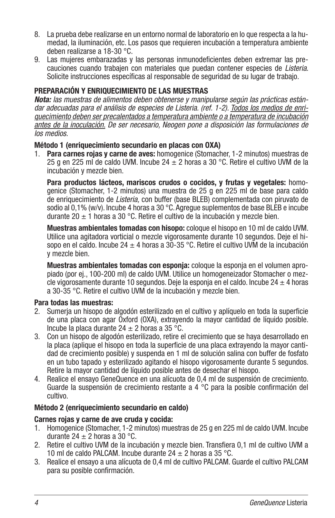- 8. La prueba debe realizarse en un entorno normal de laboratorio en lo que respecta a la humedad, la iluminación, etc. Los pasos que requieren incubación a temperatura ambiente deben realizarse a 18-30 °C.
- 9. Las mujeres embarazadas y las personas inmunodeficientes deben extremar las precauciones cuando trabajen con materiales que puedan contener especies de *Listeria*. Solicite instrucciones específicas al responsable de seguridad de su lugar de trabajo.

#### **PREPARACIÓN Y ENRIQUECIMIENTO DE LAS MUESTRAS**

*Nota: las muestras de alimentos deben obtenerse y manipularse según las prácticas estándar adecuadas para el análisis de especies de Listeria. (ref. 1-2). Todos los medios de enriquecimiento deben ser precalentados a temperatura ambiente o a temperatura de incubación antes de la inoculación. De ser necesario, Neogen pone a disposición las formulaciones de los medios.*

#### **Método 1 (enriquecimiento secundario en placas con OXA)**

1. **Para carnes rojas y carne de aves:** homogenice (Stomacher, 1-2 minutos) muestras de 25 g en 225 ml de caldo UVM. Incube 24  $\pm$  2 horas a 30 °C. Retire el cultivo UVM de la incubación y mezcle bien.

**Para productos lácteos, mariscos crudos o cocidos, y frutas y vegetales:** homogenice (Stomacher, 1-2 minutos) una muestra de 25 g en 225 ml de base para caldo de enriquecimiento de *Listeria,* con buffer (base BLEB) complementada con piruvato de sodio al 0.1% (w/v). Incube 4 horas a 30  $^{\circ}$ C. Agregue suplementos de base BLEB e incube durante 20  $\pm$  1 horas a 30 °C. Retire el cultivo de la incubación y mezcle bien.

**Muestras ambientales tomadas con hisopo:** coloque el hisopo en 10 ml de caldo UVM. Utilice una agitadora vorticial o mezcle vigorosamente durante 10 segundos. Deje el hisopo en el caldo. Incube 24  $\pm$  4 horas a 30-35 °C. Retire el cultivo UVM de la incubación y mezcle bien.

**Muestras ambientales tomadas con esponja:** coloque la esponja en el volumen apropiado (por ej., 100-200 ml) de caldo UVM. Utilice un homogeneizador Stomacher o mezcle vigorosamente durante 10 segundos. Deje la esponja en el caldo. Incube 24  $\pm$  4 horas a 30-35 °C. Retire el cultivo UVM de la incubación y mezcle bien.

#### **Para todas las muestras:**

- 2. Sumeria un hisopo de algodón esterilizado en el cultivo y aplíquelo en toda la superficie de una placa con agar Oxford (OXA), extrayendo la mayor cantidad de líquido posible. Incube la placa durante  $24 \pm 2$  horas a 35 °C.
- 3. Con un hisopo de algodón esterilizado, retire el crecimiento que se haya desarrollado en la placa (aplique el hisopo en toda la superficie de una placa extravendo la mayor cantidad de crecimiento posible) y suspenda en 1 ml de solución salina con buffer de fosfato en un tubo tapado y esterilizado agitando el hisopo vigorosamente durante 5 segundos. Retire la mayor cantidad de líquido posible antes de desechar el hisopo.
- 4. Realice el ensayo GeneQuence en una alícuota de 0,4 ml de suspensión de crecimiento. Guarde la suspensión de crecimiento restante a 4  $\degree$ C para la posible confirmación del cultivo.

#### **Método 2 (enriquecimiento secundario en caldo)**

#### **Carnes rojas y carne de ave cruda y cocida:**

- 1. Homogenice (Stomacher, 1-2 minutos) muestras de 25 g en 225 ml de caldo UVM. Incube durante 24  $\pm$  2 horas a 30 °C.
- 2. Retire el cultivo UVM de la incubación y mezcle bien. Transfiera 0.1 ml de cultivo UVM a 10 ml de caldo PALCAM. Incube durante 24  $\pm$  2 horas a 35 °C.
- 3. Realice el ensayo a una alícuota de 0,4 ml de cultivo PALCAM. Guarde el cultivo PALCAM para su posible confirmación.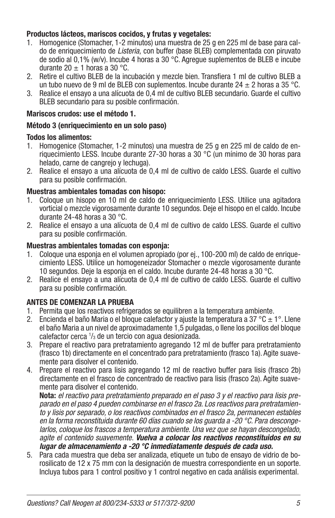### **Productos lácteos, mariscos cocidos, y frutas y vegetales:**

- 1. Homogenice (Stomacher, 1-2 minutos) una muestra de 25 g en 225 ml de base para caldo de enriquecimiento de *Listeria,* con buffer (base BLEB) complementada con piruvato de sodio al 0,1% (w/v). Incube 4 horas a 30 °C. Agregue suplementos de BLEB e incube durante 20  $\pm$  1 horas a 30 °C.
- 2. Retire el cultivo BLEB de la incubación y mezcle bien. Transfiera 1 ml de cultivo BLEB a un tubo nuevo de 9 ml de BLEB con suplementos. Incube durante 24  $\pm$  2 horas a 35 °C.
- 3. Realice el ensayo a una alícuota de 0,4 ml de cultivo BLEB secundario. Guarde el cultivo BLEB secundario para su posible confirmación.

### **Mariscos crudos: use el método 1.**

### **Método 3 (enriquecimiento en un solo paso)**

### **Todos los alimentos:**

- 1. Homogenice (Stomacher, 1-2 minutos) una muestra de 25 g en 225 ml de caldo de enriquecimiento LESS. Incube durante 27-30 horas a 30 °C (un mínimo de 30 horas para helado, carne de cangrejo y lechuga).
- 2. Realice el ensayo a una alícuota de 0,4 ml de cultivo de caldo LESS. Guarde el cultivo para su posible confirmación.

### **Muestras ambientales tomadas con hisopo:**

- 1. Coloque un hisopo en 10 ml de caldo de enriquecimiento LESS. Utilice una agitadora vorticial o mezcle vigorosamente durante 10 segundos. Deje el hisopo en el caldo. Incube durante 24-48 horas a 30 °C.
- 2. Realice el ensayo a una alícuota de 0,4 ml de cultivo de caldo LESS. Guarde el cultivo para su posible confirmación.

### **Muestras ambientales tomadas con esponja:**

- 1. Coloque una esponja en el volumen apropiado (por ej., 100-200 ml) de caldo de enriquecimiento LESS. Utilice un homogeneizador Stomacher o mezcle vigorosamente durante 10 segundos. Deje la esponja en el caldo. Incube durante 24-48 horas a 30 °C.
- 2. Realice el ensayo a una alícuota de 0,4 ml de cultivo de caldo LESS. Guarde el cultivo para su posible confirmación.

# **ANTES DE COMENZAR LA PRUEBA**

- 1. Permita que los reactivos refrigerados se equilibren a la temperatura ambiente.
- 2. Encienda el baño Maria o el bloque calefactor y ajuste la temperatura a 37 °C  $\pm$  1°. Llene el baño Maria a un nivel de aproximadamente 1,5 pulgadas, o llene los pocillos del bloque calefactor cerca 1 /3 de un tercio con agua desionizada.
- 3. Prepare el reactivo para pretratamiento agregando 12 ml de buffer para pretratamiento (frasco 1b) directamente en el concentrado para pretratamiento (frasco 1a). Agite suavemente para disolver el contenido.
- 4. Prepare el reactivo para lisis agregando 12 ml de reactivo buffer para lisis (frasco 2b) directamente en el frasco de concentrado de reactivo para lisis (frasco 2a). Agite suavemente para disolver el contenido.

**Nota:** *el reactivo para pretratamiento preparado en el paso 3 y el reactivo para lisis preparado en el paso 4 pueden combinarse en el frasco 2a. Los reactivos para pretratamiento y lisis por separado, o los reactivos combinados en el frasco 2a, permanecen estables en la forma reconstituida durante 60 días cuando se los guarda a -20 °C. Para descongelarlos, coloque los frascos a temperatura ambiente. Una vez que se hayan descongelado, agite el contenido suavemente. Vuelva a colocar los reactivos reconstituidos en su lugar de almacenamiento a -20 °C inmediatamente después de cada uso.*

5. Para cada muestra que deba ser analizada, etiquete un tubo de ensayo de vidrio de borosilicato de 12 x 75 mm con la designación de muestra correspondiente en un soporte. Incluya tubos para 1 control positivo y 1 control negativo en cada análisis experimental.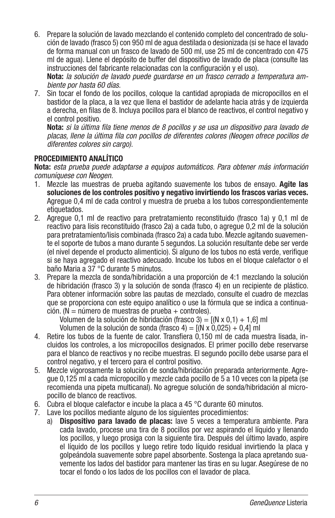6. Prepare la solución de lavado mezclando el contenido completo del concentrado de solución de lavado (frasco 5) con 950 ml de agua destilada o desionizada (si se hace el lavado de forma manual con un frasco de lavado de 500 ml, use 25 ml de concentrado con 475 ml de agua). Llene el depósito de buffer del dispositivo de lavado de placa (consulte las instrucciones del fabricante relacionadas con la configuración y el uso).

**Nota:** *la solución de lavado puede guardarse en un frasco cerrado a temperatura ambiente por hasta 60 días.*

7. Sin tocar el fondo de los pocillos, coloque la cantidad apropiada de micropocillos en el bastidor de la placa, a la vez que llena el bastidor de adelante hacia atrás y de izquierda a derecha, en filas de 8. Incluva pocillos para el blanco de reactivos, el control negativo y el control positivo.

**Nota:** *si la última fila tiene menos de 8 pocillos y se usa un dispositivo para lavado de* placas, llene la última fila con pocillos de diferentes colores (Neogen ofrece pocillos de *diferentes colores sin cargo).*

# **PROCEDIMIENTO ANALÍTICO**

**Nota:** *esta prueba puede adaptarse a equipos automáticos. Para obtener más información comuníquese con Neogen.*

- 1. Mezcle las muestras de prueba agitando suavemente los tubos de ensayo. **Agite las soluciones de los controles positivo y negativo invirtiendo los frascos varias veces.** Agregue 0,4 ml de cada control y muestra de prueba a los tubos correspondientemente etiquetados.
- 2. Agregue 0,1 ml de reactivo para pretratamiento reconstituido (frasco 1a) y 0,1 ml de reactivo para lisis reconstituido (frasco 2a) a cada tubo, o agregue 0,2 ml de la solución para pretratamiento/lisis combinada (frasco 2a) a cada tubo. Mezcle agitando suavemente el soporte de tubos a mano durante 5 segundos. La solución resultante debe ser verde (el nivel depende el producto alimenticio). Si alguno de los tubos no está verde, verifique si se haya agregado el reactivo adecuado. Incube los tubos en el bloque calefactor o el baño Maria a 37 °C durante 5 minutos.
- 3. Prepare la mezcla de sonda/hibridación a una proporción de 4:1 mezclando la solución de hibridación (frasco 3) y la solución de sonda (frasco 4) en un recipiente de plástico. Para obtener información sobre las pautas de mezclado, consulte el cuadro de mezclas que se proporciona con este equipo analítico o use la fórmula que se indica a continua $c$ ión. ( $N = n$ úmero de muestras de prueba + controles).

Volumen de la solución de hibridación (frasco 3) =  $[(N \times 0.1) + 1.6]$  ml

Volumen de la solución de sonda (frasco 4) =  $[(N \times 0.025) + 0.4]$  ml

- 4. Retire los tubos de la fuente de calor. Transfiera 0,150 ml de cada muestra lisada, incluidos los controles, a los micropocillos designados. El primer pocillo debe reservarse para el blanco de reactivos y no recibe muestras. El segundo pocillo debe usarse para el control negativo, y el tercero para el control positivo.
- 5. Mezcle vigorosamente la solución de sonda/hibridación preparada anteriormente. Agregue 0,125 ml a cada micropocillo y mezcle cada pocillo de 5 a 10 veces con la pipeta (se recomienda una pipeta multicanal). No agregue solución de sonda/hibridación al micropocillo de blanco de reactivos.
- 6. Cubra el bloque calefactor e incube la placa a 45 °C durante 60 minutos.
- 7. Lave los pocillos mediante alguno de los siguientes procedimientos:
	- a) **Dispositivo para lavado de placas:** lave 5 veces a temperatura ambiente. Para cada lavado, procese una tira de 8 pocillos por vez aspirando el líquido y llenando los pocillos, y luego prosiga con la siguiente tira. Después del último lavado, aspire el líquido de los pocillos y luego retire todo líquido residual invirtiendo la placa y golpeándola suavemente sobre papel absorbente. Sostenga la placa apretando suavemente los lados del bastidor para mantener las tiras en su lugar. Asegúrese de no tocar el fondo o los lados de los pocillos con el lavador de placa.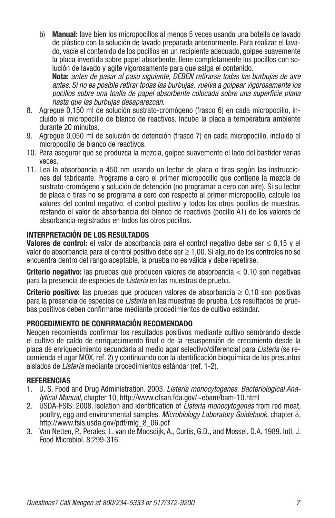b) **Manual:** lave bien los micropocillos al menos 5 veces usando una botella de lavado de plástico con la solución de lavado preparada anteriormente. Para realizar el lavado, vacíe el contenido de los pocillos en un recipiente adecuado, golpee suavemente la placa invertida sobre papel absorbente, llene completamente los pocillos con solución de lavado y agite vigorosamente para que salga el contenido.  **Nota:** *antes de pasar al paso siguiente, DEBEN retirarse todas las burbujas de aire* 

*antes. Si no es posible retirar todas las burbujas, vuelva a golpear vigorosamente los*  pocillos sobre una toalla de papel absorbente colocada sobre una superficie plana *hasta que las burbujas desaparezcan.*

- 8. Agregue 0,150 ml de solución sustrato-cromógeno (frasco 6) en cada micropocillo, incluido el micropocillo de blanco de reactivos. Incube la placa a temperatura ambiente durante 20 minutos.
- 9. Agregue 0,050 ml de solución de detención (frasco 7) en cada micropocillo, incluido el micropocillo de blanco de reactivos.
- 10. Para asegurar que se produzca la mezcla, golpee suavemente el lado del bastidor varias veces.
- 11. Lea la absorbancia a 450 nm usando un lector de placa o tiras según las instrucciones del fabricante. Programe a cero el primer micropocillo que contiene la mezcla de sustrato-cromógeno y solución de detención (no programar a cero con aire). Si su lector de placa o tiras no se programa a cero con respecto al primer micropocillo, calcule los valores del control negativo, el control positivo y todos los otros pocillos de muestras, restando el valor de absorbancia del blanco de reactivos (pocillo A1) de los valores de absorbancia registrados en todos los otros pocillos.

### **INTERPRETACIÓN DE LOS RESULTADOS**

**Valores de control:** el valor de absorbancia para el control negativo debe ser ≤ 0,15 y el valor de absorbancia para el control positivo debe ser  $\geq 1,00$ . Si alguno de los controles no se encuentra dentro del rango aceptable, la prueba no es válida y debe repetirse.

**Criterio negativo:** las pruebas que producen valores de absorbancia < 0,10 son negativas para la presencia de especies de *Listeria* en las muestras de prueba.

**Criterio positivo:** las pruebas que producen valores de absorbancia ≥ 0,10 son positivas para la presencia de especies de *Listeria* en las muestras de prueba. Los resultados de pruebas positivos deben confirmarse mediante procedimientos de cultivo estándar.

### **PROCEDIMIENTO DE CONFIRMACIÓN RECOMENDADO**

Neogen recomienda confirmar los resultados positivos mediante cultivo sembrando desde el cultivo de caldo de enriquecimiento final o de la resuspensión de crecimiento desde la placa de enriquecimiento secundaria al medio agar selectivo/diferencial para *Listeria* (se recomienda el agar MOX, ref. 2) y continuando con la identificación bioquímica de los presuntos aislados de *Listeria* mediante procedimientos estándar (ref. 1-2).

### **REFERENCIAS**

- 1. U. S. Food and Drug Administration. 2003. *Listeria monocytogenes*. *Bacteriological Analytical Manual*, chapter 10, http://www.cfsan.fda.gov/~ebam/bam-10.html
- 2. USDA-FSIS, 2008. Isolation and identification of *Listeria monocytogenes* from red meat. poultry, egg and environmental samples. *Microbiology Laboratory Guidebook*, chapter 8, http://www.fsis.usda.gov/pdf/mlg\_8\_06.pdf
- 3. Van Netten, P., Perales, I., van de Moosdijk, A., Curtis, G.D., and Mossel, D.A. 1989. Intl. J. Food Microbiol. 8:299-316.